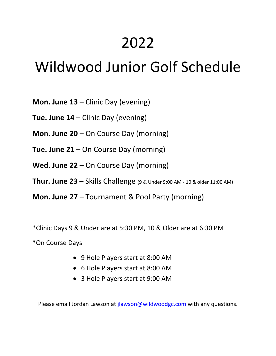## 2022

## Wildwood Junior Golf Schedule

**Mon. June 13** – Clinic Day (evening)

**Tue. June 14** – Clinic Day (evening)

**Mon. June 20** – On Course Day (morning)

**Tue. June 21** – On Course Day (morning)

**Wed. June 22** – On Course Day (morning)

**Thur. June 23** – Skills Challenge (9 & Under 9:00 AM - 10 & older 11:00 AM)

**Mon. June 27** – Tournament & Pool Party (morning)

\*Clinic Days 9 & Under are at 5:30 PM, 10 & Older are at 6:30 PM

\*On Course Days

- 9 Hole Players start at 8:00 AM
- 6 Hole Players start at 8:00 AM
- 3 Hole Players start at 9:00 AM

Please email Jordan Lawson at [jlawson@wildwoodgc.com](mailto:jlawson@wildwoodgc.com) with any questions.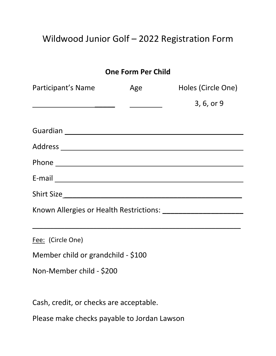## Wildwood Junior Golf – 2022 Registration Form

|                                                                                                                                             | <b>One Form Per Child</b> |            |
|---------------------------------------------------------------------------------------------------------------------------------------------|---------------------------|------------|
| Participant's Name The Age The Holes (Circle One)                                                                                           |                           |            |
|                                                                                                                                             |                           | 3, 6, or 9 |
|                                                                                                                                             |                           |            |
|                                                                                                                                             |                           |            |
|                                                                                                                                             |                           |            |
|                                                                                                                                             |                           |            |
| Shirt Size                                                                                                                                  |                           |            |
|                                                                                                                                             |                           |            |
| <u> 1989 - Johann Stoff, deutscher Stoffen und der Stoffen und der Stoffen und der Stoffen und der Stoffen und der</u><br>Fee: (Circle One) |                           |            |
| Member child or grandchild - \$100                                                                                                          |                           |            |
| Non-Member child - \$200                                                                                                                    |                           |            |
| Cash, credit, or checks are acceptable.                                                                                                     |                           |            |

Please make checks payable to Jordan Lawson